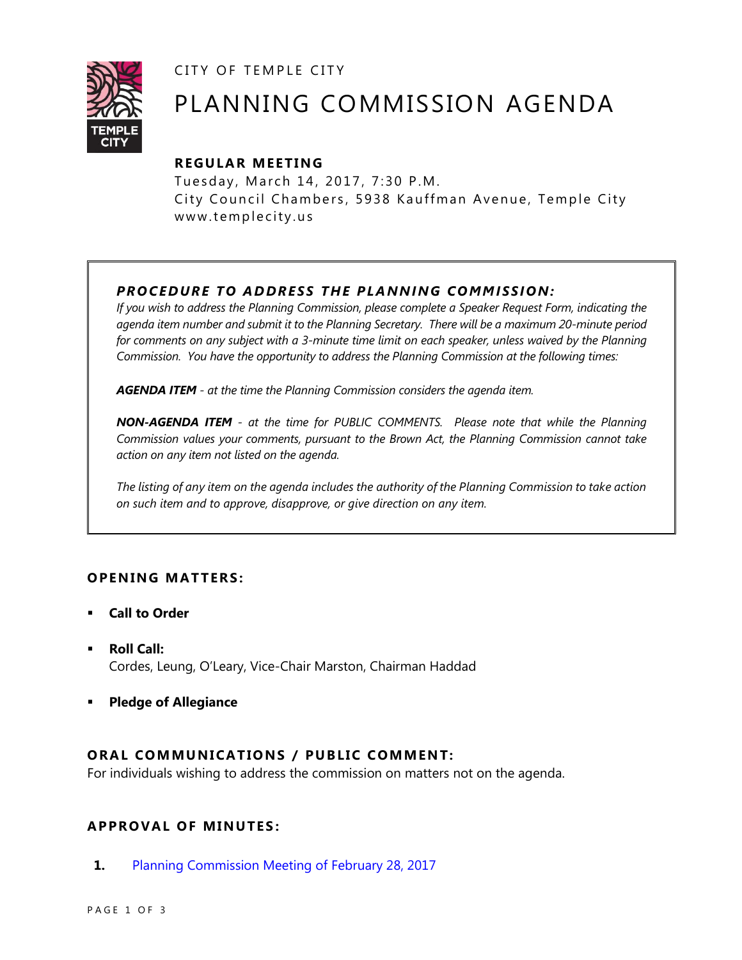CITY OF TEMPLE CITY



# PLANNING COMMISSION AGENDA

# **R EGULA R MEE TING**

Tuesday, March 14, 2017, 7:30 P.M. City Council Chambers, 5938 Kauffman Avenue, Temple City www.templecity.us

# *PRO CE DURE TO ADDRE SS THE P LA NNI NG COMM I SSION:*

*If you wish to address the Planning Commission, please complete a Speaker Request Form, indicating the agenda item number and submit it to the Planning Secretary. There will be a maximum 20-minute period*  for comments on any subject with a 3-minute time limit on each speaker, unless waived by the Planning *Commission. You have the opportunity to address the Planning Commission at the following times:*

*AGENDA ITEM - at the time the Planning Commission considers the agenda item.*

*NON-AGENDA ITEM - at the time for PUBLIC COMMENTS. Please note that while the Planning Commission values your comments, pursuant to the Brown Act, the Planning Commission cannot take action on any item not listed on the agenda.*

*The listing of any item on the agenda includes the authority of the Planning Commission to take action on such item and to approve, disapprove, or give direction on any item.*

## **OPENING MATTERS:**

- **Call to Order**
- **Roll Call:** Cordes, Leung, O'Leary, Vice-Chair Marston, Chairman Haddad
- **Pledge of Allegiance**

## **ORAL COMMUNICATIONS / PUBLIC COMMENT:**

For individuals wishing to address the commission on matters not on the agenda.

## **APPRO VAL OF MINUTES :**

**1.** [Planning Commission Meeting of February 28, 2017](https://ca-templecity.civicplus.com/DocumentCenter/View/7850)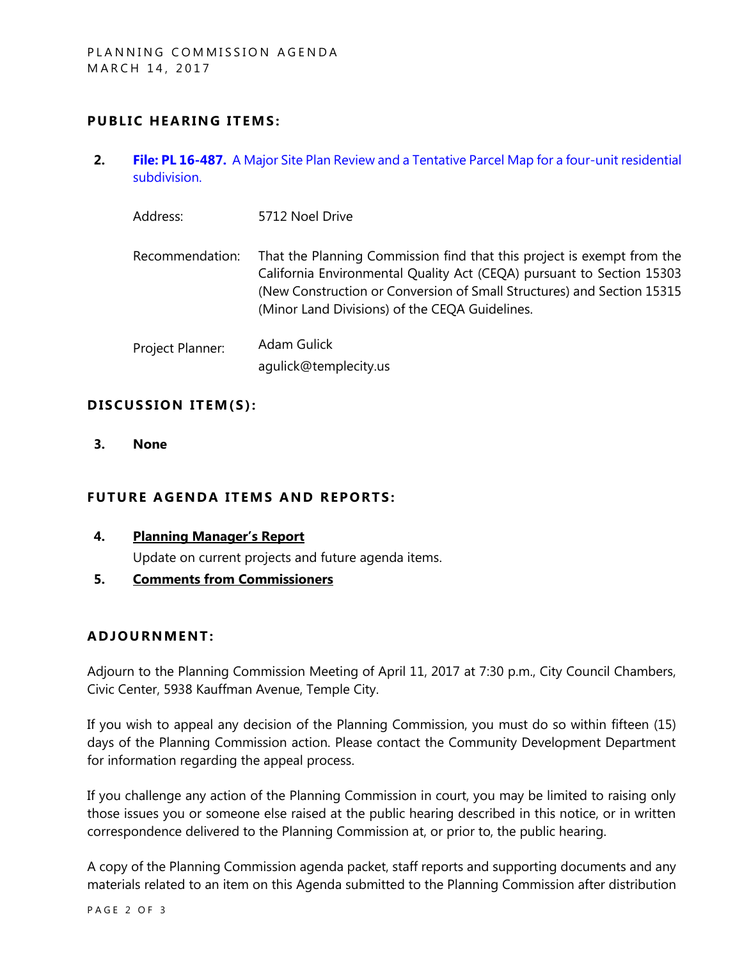## **PUBLIC HEARING ITEMS:**

**2. File: PL 16-487.** [A Major Site Plan Review and a Tentative Parcel Map for a four-unit residential](https://ca-templecity.civicplus.com/DocumentCenter/View/7851)  [subdivision.](https://ca-templecity.civicplus.com/DocumentCenter/View/7851)

Address: 5712 Noel Drive

Recommendation: That the Planning Commission find that this project is exempt from the California Environmental Quality Act (CEQA) pursuant to Section 15303 (New Construction or Conversion of Small Structures) and Section 15315 (Minor Land Divisions) of the CEQA Guidelines.

Project Planner: Adam Gulick agulick@templecity.us

## **D ISCUSSION ITEM(S ):**

**3. None**

## **FUTURE AGENDA ITEMS AND REPORTS:**

**4. Planning Manager's Report**

Update on current projects and future agenda items.

**5. Comments from Commissioners**

#### **ADJOU RNMENT:**

Adjourn to the Planning Commission Meeting of April 11, 2017 at 7:30 p.m., City Council Chambers, Civic Center, 5938 Kauffman Avenue, Temple City.

If you wish to appeal any decision of the Planning Commission, you must do so within fifteen (15) days of the Planning Commission action. Please contact the Community Development Department for information regarding the appeal process.

If you challenge any action of the Planning Commission in court, you may be limited to raising only those issues you or someone else raised at the public hearing described in this notice, or in written correspondence delivered to the Planning Commission at, or prior to, the public hearing.

A copy of the Planning Commission agenda packet, staff reports and supporting documents and any materials related to an item on this Agenda submitted to the Planning Commission after distribution